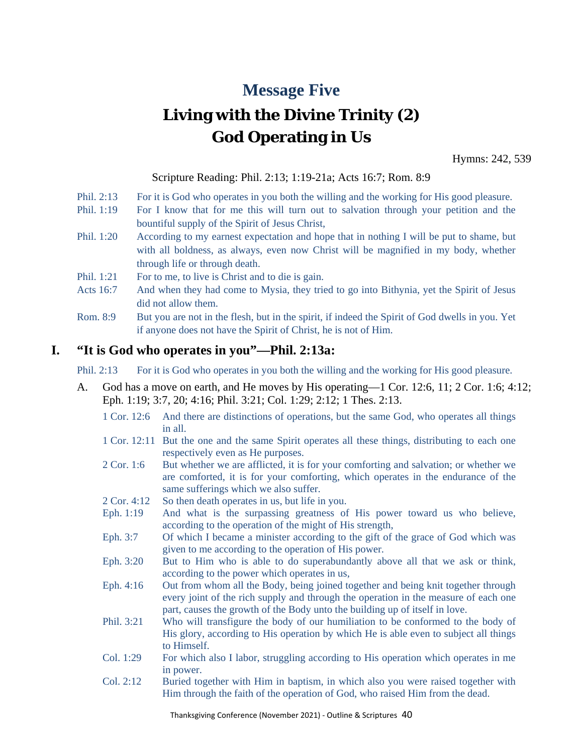# **Message Five**

# **Living with the Divine Trinity (2) God Operating in Us**

Hymns: 242, 539

#### Scripture Reading: Phil. 2:13; 1:19-21a; Acts 16:7; Rom. 8:9

- Phil. 2:13 For it is God who operates in you both the willing and the working for His good pleasure.
- Phil. 1:19 For I know that for me this will turn out to salvation through your petition and the bountiful supply of the Spirit of Jesus Christ,
- Phil. 1:20 According to my earnest expectation and hope that in nothing I will be put to shame, but with all boldness, as always, even now Christ will be magnified in my body, whether through life or through death.
- Phil. 1:21 For to me, to live is Christ and to die is gain.
- Acts 16:7 And when they had come to Mysia, they tried to go into Bithynia, yet the Spirit of Jesus did not allow them.
- Rom. 8:9 But you are not in the flesh, but in the spirit, if indeed the Spirit of God dwells in you. Yet if anyone does not have the Spirit of Christ, he is not of Him.

### **I. "It is God who operates in you"—Phil. 2:13a:**

- Phil. 2:13 For it is God who operates in you both the willing and the working for His good pleasure.
- A. God has a move on earth, and He moves by His operating—1 Cor. 12:6, 11; 2 Cor. 1:6; 4:12; Eph. 1:19; 3:7, 20; 4:16; Phil. 3:21; Col. 1:29; 2:12; 1 Thes. 2:13.
	- 1 Cor. 12:6 And there are distinctions of operations, but the same God, who operates all things in all.
	- 1 Cor. 12:11 But the one and the same Spirit operates all these things, distributing to each one respectively even as He purposes.
	- 2 Cor. 1:6 But whether we are afflicted, it is for your comforting and salvation; or whether we are comforted, it is for your comforting, which operates in the endurance of the same sufferings which we also suffer.
	- 2 Cor. 4:12 So then death operates in us, but life in you.
	- Eph. 1:19 And what is the surpassing greatness of His power toward us who believe, according to the operation of the might of His strength,
	- Eph. 3:7 Of which I became a minister according to the gift of the grace of God which was given to me according to the operation of His power.
	- Eph. 3:20 But to Him who is able to do superabundantly above all that we ask or think, according to the power which operates in us,
	- Eph. 4:16 Out from whom all the Body, being joined together and being knit together through every joint of the rich supply and through the operation in the measure of each one part, causes the growth of the Body unto the building up of itself in love.
	- Phil. 3:21 Who will transfigure the body of our humiliation to be conformed to the body of His glory, according to His operation by which He is able even to subject all things to Himself.
	- Col. 1:29 For which also I labor, struggling according to His operation which operates in me in power.
	- Col. 2:12 Buried together with Him in baptism, in which also you were raised together with Him through the faith of the operation of God, who raised Him from the dead.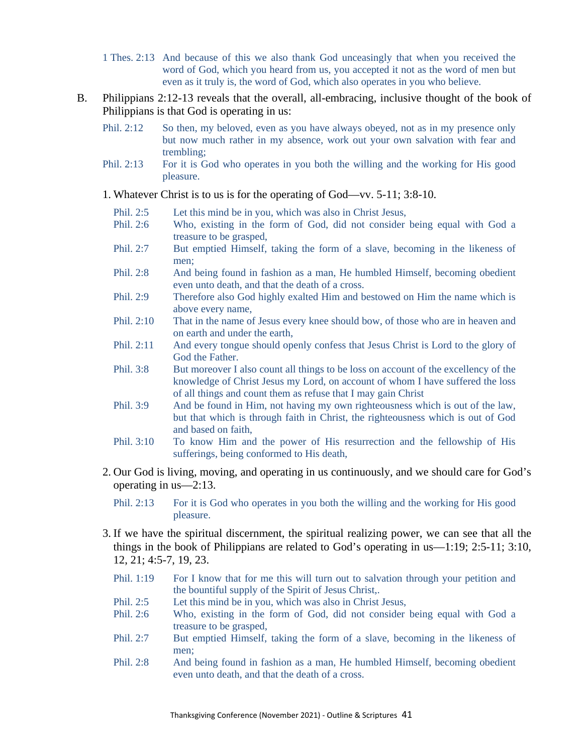- 1 Thes. 2:13 And because of this we also thank God unceasingly that when you received the word of God, which you heard from us, you accepted it not as the word of men but even as it truly is, the word of God, which also operates in you who believe.
- B. Philippians 2:12-13 reveals that the overall, all-embracing, inclusive thought of the book of Philippians is that God is operating in us:
	- Phil. 2:12 So then, my beloved, even as you have always obeyed, not as in my presence only but now much rather in my absence, work out your own salvation with fear and trembling;
	- Phil. 2:13 For it is God who operates in you both the willing and the working for His good pleasure.
	- 1. Whatever Christ is to us is for the operating of God—vv. 5-11; 3:8-10.
		- Phil. 2:5 Let this mind be in you, which was also in Christ Jesus,
		- Phil. 2:6 Who, existing in the form of God, did not consider being equal with God a treasure to be grasped,
		- Phil. 2:7 But emptied Himself, taking the form of a slave, becoming in the likeness of men;
		- Phil. 2:8 And being found in fashion as a man, He humbled Himself, becoming obedient even unto death, and that the death of a cross.
		- Phil. 2:9 Therefore also God highly exalted Him and bestowed on Him the name which is above every name,
		- Phil. 2:10 That in the name of Jesus every knee should bow, of those who are in heaven and on earth and under the earth,
		- Phil. 2:11 And every tongue should openly confess that Jesus Christ is Lord to the glory of God the Father.
		- Phil. 3:8 But moreover I also count all things to be loss on account of the excellency of the knowledge of Christ Jesus my Lord, on account of whom I have suffered the loss of all things and count them as refuse that I may gain Christ
		- Phil. 3:9 And be found in Him, not having my own righteousness which is out of the law, but that which is through faith in Christ, the righteousness which is out of God and based on faith,
		- Phil. 3:10 To know Him and the power of His resurrection and the fellowship of His sufferings, being conformed to His death,
	- 2. Our God is living, moving, and operating in us continuously, and we should care for God's operating in us—2:13.
		- Phil. 2:13 For it is God who operates in you both the willing and the working for His good pleasure.
	- 3. If we have the spiritual discernment, the spiritual realizing power, we can see that all the things in the book of Philippians are related to God's operating in us—1:19; 2:5-11; 3:10, 12, 21; 4:5-7, 19, 23.
		- Phil. 1:19 For I know that for me this will turn out to salvation through your petition and the bountiful supply of the Spirit of Jesus Christ,.
		- Phil. 2:5 Let this mind be in you, which was also in Christ Jesus,
		- Phil. 2:6 Who, existing in the form of God, did not consider being equal with God a treasure to be grasped,
		- Phil. 2:7 But emptied Himself, taking the form of a slave, becoming in the likeness of men;
		- Phil. 2:8 And being found in fashion as a man, He humbled Himself, becoming obedient even unto death, and that the death of a cross.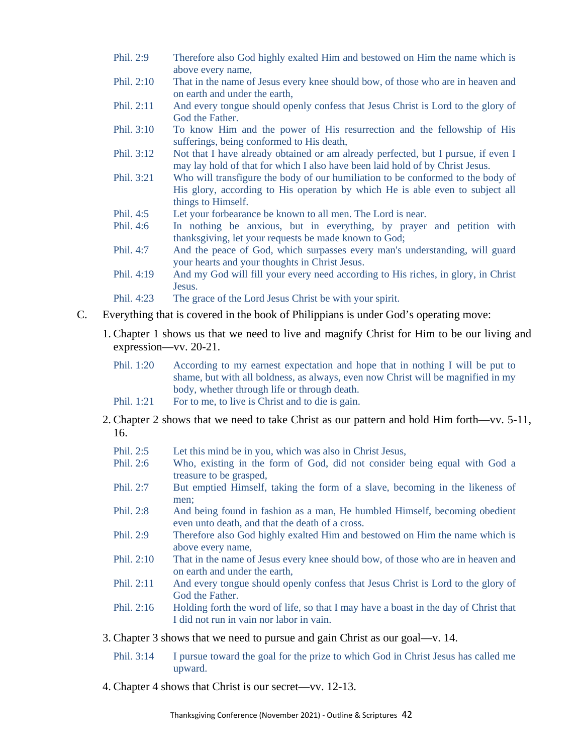- Phil. 2:9 Therefore also God highly exalted Him and bestowed on Him the name which is above every name,
- Phil. 2:10 That in the name of Jesus every knee should bow, of those who are in heaven and on earth and under the earth,
- Phil. 2:11 And every tongue should openly confess that Jesus Christ is Lord to the glory of God the Father.
- Phil. 3:10 To know Him and the power of His resurrection and the fellowship of His sufferings, being conformed to His death,
- Phil. 3:12 Not that I have already obtained or am already perfected, but I pursue, if even I may lay hold of that for which I also have been laid hold of by Christ Jesus.
- Phil. 3:21 Who will transfigure the body of our humiliation to be conformed to the body of His glory, according to His operation by which He is able even to subject all things to Himself.
- Phil. 4:5 Let your forbearance be known to all men. The Lord is near.
- Phil. 4:6 In nothing be anxious, but in everything, by prayer and petition with thanksgiving, let your requests be made known to God;
- Phil. 4:7 And the peace of God, which surpasses every man's understanding, will guard your hearts and your thoughts in Christ Jesus.
- Phil. 4:19 And my God will fill your every need according to His riches, in glory, in Christ Jesus.
- Phil. 4:23 The grace of the Lord Jesus Christ be with your spirit.
- C. Everything that is covered in the book of Philippians is under God's operating move:
	- 1. Chapter 1 shows us that we need to live and magnify Christ for Him to be our living and expression—vv. 20-21.
		- Phil. 1:20 According to my earnest expectation and hope that in nothing I will be put to shame, but with all boldness, as always, even now Christ will be magnified in my body, whether through life or through death.
		- Phil. 1:21 For to me, to live is Christ and to die is gain.
	- 2. Chapter 2 shows that we need to take Christ as our pattern and hold Him forth—vv. 5-11, 16.
		- Phil. 2:5 Let this mind be in you, which was also in Christ Jesus,
		- Phil. 2:6 Who, existing in the form of God, did not consider being equal with God a treasure to be grasped,
		- Phil. 2:7 But emptied Himself, taking the form of a slave, becoming in the likeness of men;
		- Phil. 2:8 And being found in fashion as a man, He humbled Himself, becoming obedient even unto death, and that the death of a cross.
		- Phil. 2:9 Therefore also God highly exalted Him and bestowed on Him the name which is above every name,
		- Phil. 2:10 That in the name of Jesus every knee should bow, of those who are in heaven and on earth and under the earth,
		- Phil. 2:11 And every tongue should openly confess that Jesus Christ is Lord to the glory of God the Father.
		- Phil. 2:16 Holding forth the word of life, so that I may have a boast in the day of Christ that I did not run in vain nor labor in vain.
	- 3. Chapter 3 shows that we need to pursue and gain Christ as our goal—v. 14.
		- Phil. 3:14 I pursue toward the goal for the prize to which God in Christ Jesus has called me upward.
	- 4. Chapter 4 shows that Christ is our secret—vv. 12-13.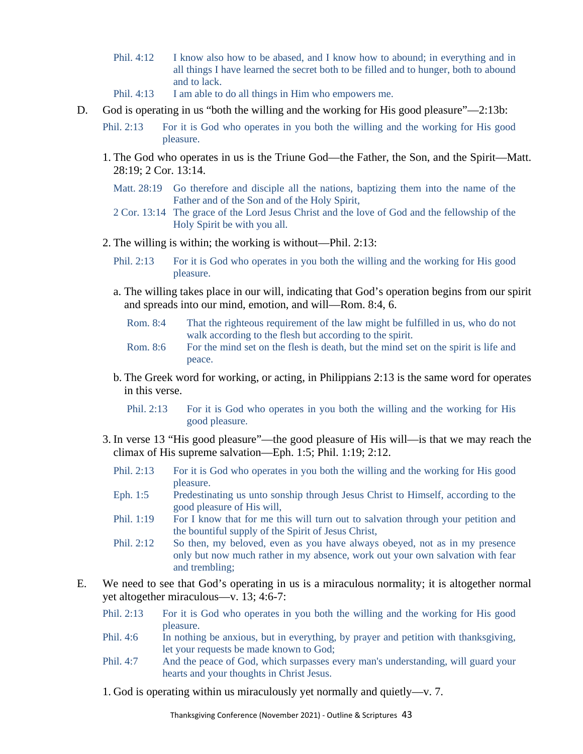- Phil. 4:12 I know also how to be abased, and I know how to abound; in everything and in all things I have learned the secret both to be filled and to hunger, both to abound and to lack.
- Phil. 4:13 I am able to do all things in Him who empowers me.
- D. God is operating in us "both the willing and the working for His good pleasure"—2:13b:
	- Phil. 2:13 For it is God who operates in you both the willing and the working for His good pleasure.
	- 1. The God who operates in us is the Triune God—the Father, the Son, and the Spirit—Matt. 28:19; 2 Cor. 13:14.
		- Matt. 28:19 Go therefore and disciple all the nations, baptizing them into the name of the Father and of the Son and of the Holy Spirit,
		- 2 Cor. 13:14 The grace of the Lord Jesus Christ and the love of God and the fellowship of the Holy Spirit be with you all.
	- 2. The willing is within; the working is without—Phil. 2:13:
		- Phil. 2:13 For it is God who operates in you both the willing and the working for His good pleasure.
		- a. The willing takes place in our will, indicating that God's operation begins from our spirit and spreads into our mind, emotion, and will—Rom. 8:4, 6.
			- Rom. 8:4 That the righteous requirement of the law might be fulfilled in us, who do not walk according to the flesh but according to the spirit.
			- Rom. 8:6 For the mind set on the flesh is death, but the mind set on the spirit is life and peace.
		- b. The Greek word for working, or acting, in Philippians 2:13 is the same word for operates in this verse.

Phil. 2:13 For it is God who operates in you both the willing and the working for His good pleasure.

- 3. In verse 13 "His good pleasure"—the good pleasure of His will—is that we may reach the climax of His supreme salvation—Eph. 1:5; Phil. 1:19; 2:12.
	- Phil. 2:13 For it is God who operates in you both the willing and the working for His good pleasure.
	- Eph. 1:5 Predestinating us unto sonship through Jesus Christ to Himself, according to the good pleasure of His will,
	- Phil. 1:19 For I know that for me this will turn out to salvation through your petition and the bountiful supply of the Spirit of Jesus Christ,
	- Phil. 2:12 So then, my beloved, even as you have always obeyed, not as in my presence only but now much rather in my absence, work out your own salvation with fear and trembling;
- E. We need to see that God's operating in us is a miraculous normality; it is altogether normal yet altogether miraculous—v. 13; 4:6-7:
	- Phil. 2:13 For it is God who operates in you both the willing and the working for His good pleasure.
	- Phil. 4:6 In nothing be anxious, but in everything, by prayer and petition with thanksgiving, let your requests be made known to God;
	- Phil. 4:7 And the peace of God, which surpasses every man's understanding, will guard your hearts and your thoughts in Christ Jesus.
	- 1. God is operating within us miraculously yet normally and quietly—v. 7.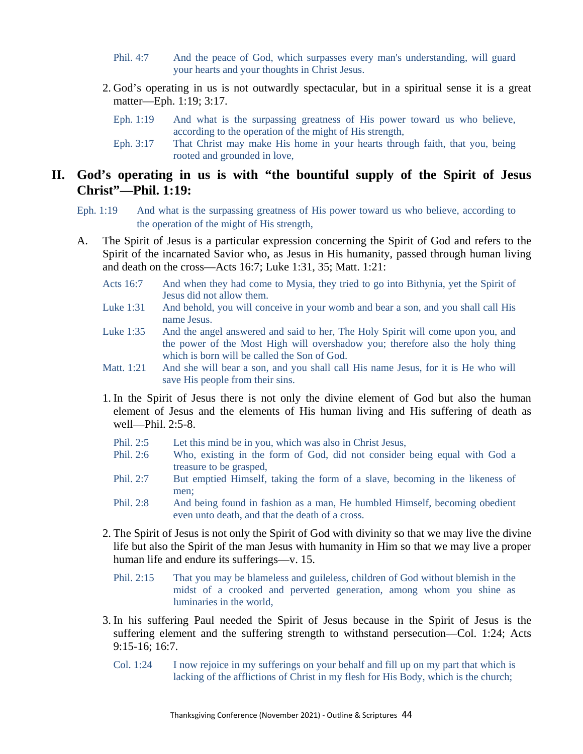- Phil. 4:7 And the peace of God, which surpasses every man's understanding, will guard your hearts and your thoughts in Christ Jesus.
- 2. God's operating in us is not outwardly spectacular, but in a spiritual sense it is a great matter—Eph. 1:19; 3:17.
	- Eph. 1:19 And what is the surpassing greatness of His power toward us who believe, according to the operation of the might of His strength,
	- Eph. 3:17 That Christ may make His home in your hearts through faith, that you, being rooted and grounded in love,

## **II. God's operating in us is with "the bountiful supply of the Spirit of Jesus Christ"—Phil. 1:19:**

- Eph. 1:19 And what is the surpassing greatness of His power toward us who believe, according to the operation of the might of His strength,
- A. The Spirit of Jesus is a particular expression concerning the Spirit of God and refers to the Spirit of the incarnated Savior who, as Jesus in His humanity, passed through human living and death on the cross—Acts 16:7; Luke 1:31, 35; Matt. 1:21:
	- Acts 16:7 And when they had come to Mysia, they tried to go into Bithynia, yet the Spirit of Jesus did not allow them.
	- Luke 1:31 And behold, you will conceive in your womb and bear a son, and you shall call His name Jesus.
	- Luke 1:35 And the angel answered and said to her, The Holy Spirit will come upon you, and the power of the Most High will overshadow you; therefore also the holy thing which is born will be called the Son of God.
	- Matt. 1:21 And she will bear a son, and you shall call His name Jesus, for it is He who will save His people from their sins.
	- 1. In the Spirit of Jesus there is not only the divine element of God but also the human element of Jesus and the elements of His human living and His suffering of death as well—Phil. 2:5-8.
		- Phil. 2:5 Let this mind be in you, which was also in Christ Jesus,
		- Phil. 2:6 Who, existing in the form of God, did not consider being equal with God a treasure to be grasped,
		- Phil. 2:7 But emptied Himself, taking the form of a slave, becoming in the likeness of men;
		- Phil. 2:8 And being found in fashion as a man, He humbled Himself, becoming obedient even unto death, and that the death of a cross.
	- 2. The Spirit of Jesus is not only the Spirit of God with divinity so that we may live the divine life but also the Spirit of the man Jesus with humanity in Him so that we may live a proper human life and endure its sufferings—v. 15.
		- Phil. 2:15 That you may be blameless and guileless, children of God without blemish in the midst of a crooked and perverted generation, among whom you shine as luminaries in the world,
	- 3. In his suffering Paul needed the Spirit of Jesus because in the Spirit of Jesus is the suffering element and the suffering strength to withstand persecution—Col. 1:24; Acts 9:15-16; 16:7.
		- Col. 1:24 I now rejoice in my sufferings on your behalf and fill up on my part that which is lacking of the afflictions of Christ in my flesh for His Body, which is the church;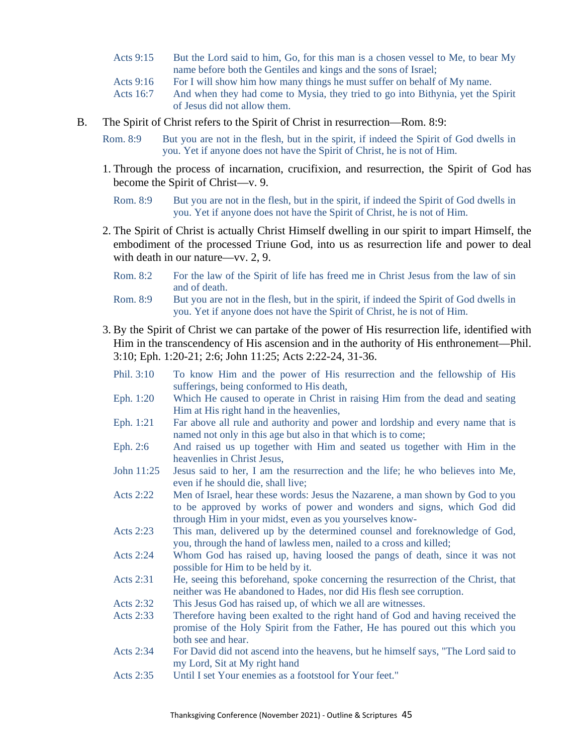- Acts 9:15 But the Lord said to him, Go, for this man is a chosen vessel to Me, to bear My name before both the Gentiles and kings and the sons of Israel;
- Acts 9:16 For I will show him how many things he must suffer on behalf of My name.
- Acts 16:7 And when they had come to Mysia, they tried to go into Bithynia, yet the Spirit of Jesus did not allow them.
- B. The Spirit of Christ refers to the Spirit of Christ in resurrection—Rom. 8:9:
	- Rom. 8:9 But you are not in the flesh, but in the spirit, if indeed the Spirit of God dwells in you. Yet if anyone does not have the Spirit of Christ, he is not of Him.
	- 1. Through the process of incarnation, crucifixion, and resurrection, the Spirit of God has become the Spirit of Christ—v. 9.
		- Rom. 8:9 But you are not in the flesh, but in the spirit, if indeed the Spirit of God dwells in you. Yet if anyone does not have the Spirit of Christ, he is not of Him.
	- 2. The Spirit of Christ is actually Christ Himself dwelling in our spirit to impart Himself, the embodiment of the processed Triune God, into us as resurrection life and power to deal with death in our nature—vv. 2, 9.
		- Rom. 8:2 For the law of the Spirit of life has freed me in Christ Jesus from the law of sin and of death.
		- Rom. 8:9 But you are not in the flesh, but in the spirit, if indeed the Spirit of God dwells in you. Yet if anyone does not have the Spirit of Christ, he is not of Him.
	- 3. By the Spirit of Christ we can partake of the power of His resurrection life, identified with Him in the transcendency of His ascension and in the authority of His enthronement—Phil. 3:10; Eph. 1:20-21; 2:6; John 11:25; Acts 2:22-24, 31-36.
		- Phil. 3:10 To know Him and the power of His resurrection and the fellowship of His sufferings, being conformed to His death,
		- Eph. 1:20 Which He caused to operate in Christ in raising Him from the dead and seating Him at His right hand in the heavenlies,
		- Eph. 1:21 Far above all rule and authority and power and lordship and every name that is named not only in this age but also in that which is to come;
		- Eph. 2:6 And raised us up together with Him and seated us together with Him in the heavenlies in Christ Jesus,
		- John 11:25 Jesus said to her, I am the resurrection and the life; he who believes into Me, even if he should die, shall live;
		- Acts 2:22 Men of Israel, hear these words: Jesus the Nazarene, a man shown by God to you to be approved by works of power and wonders and signs, which God did through Him in your midst, even as you yourselves know-
		- Acts 2:23 This man, delivered up by the determined counsel and foreknowledge of God, you, through the hand of lawless men, nailed to a cross and killed;
		- Acts 2:24 Whom God has raised up, having loosed the pangs of death, since it was not possible for Him to be held by it.
		- Acts 2:31 He, seeing this beforehand, spoke concerning the resurrection of the Christ, that neither was He abandoned to Hades, nor did His flesh see corruption.
		- Acts 2:32 This Jesus God has raised up, of which we all are witnesses.
		- Acts 2:33 Therefore having been exalted to the right hand of God and having received the promise of the Holy Spirit from the Father, He has poured out this which you both see and hear.
		- Acts 2:34 For David did not ascend into the heavens, but he himself says, "The Lord said to my Lord, Sit at My right hand
		- Acts 2:35 Until I set Your enemies as a footstool for Your feet."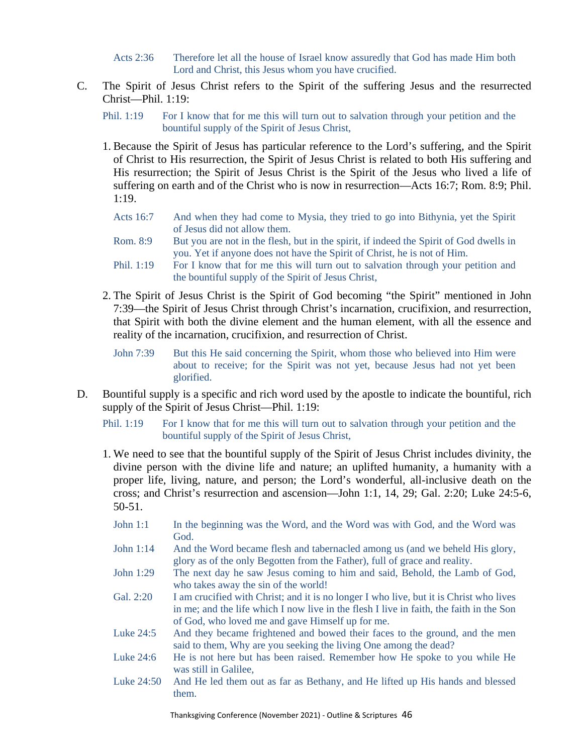Acts 2:36 Therefore let all the house of Israel know assuredly that God has made Him both Lord and Christ, this Jesus whom you have crucified.

- C. The Spirit of Jesus Christ refers to the Spirit of the suffering Jesus and the resurrected Christ—Phil. 1:19:
	- Phil. 1:19 For I know that for me this will turn out to salvation through your petition and the bountiful supply of the Spirit of Jesus Christ,
	- 1. Because the Spirit of Jesus has particular reference to the Lord's suffering, and the Spirit of Christ to His resurrection, the Spirit of Jesus Christ is related to both His suffering and His resurrection; the Spirit of Jesus Christ is the Spirit of the Jesus who lived a life of suffering on earth and of the Christ who is now in resurrection—Acts 16:7; Rom. 8:9; Phil. 1:19.
		- Acts 16:7 And when they had come to Mysia, they tried to go into Bithynia, yet the Spirit of Jesus did not allow them.
		- Rom. 8:9 But you are not in the flesh, but in the spirit, if indeed the Spirit of God dwells in you. Yet if anyone does not have the Spirit of Christ, he is not of Him.
		- Phil. 1:19 For I know that for me this will turn out to salvation through your petition and the bountiful supply of the Spirit of Jesus Christ,
	- 2. The Spirit of Jesus Christ is the Spirit of God becoming "the Spirit" mentioned in John 7:39—the Spirit of Jesus Christ through Christ's incarnation, crucifixion, and resurrection, that Spirit with both the divine element and the human element, with all the essence and reality of the incarnation, crucifixion, and resurrection of Christ.
		- John 7:39 But this He said concerning the Spirit, whom those who believed into Him were about to receive; for the Spirit was not yet, because Jesus had not yet been glorified.
- D. Bountiful supply is a specific and rich word used by the apostle to indicate the bountiful, rich supply of the Spirit of Jesus Christ—Phil. 1:19:
	- Phil. 1:19 For I know that for me this will turn out to salvation through your petition and the bountiful supply of the Spirit of Jesus Christ,
	- 1. We need to see that the bountiful supply of the Spirit of Jesus Christ includes divinity, the divine person with the divine life and nature; an uplifted humanity, a humanity with a proper life, living, nature, and person; the Lord's wonderful, all-inclusive death on the cross; and Christ's resurrection and ascension—John 1:1, 14, 29; Gal. 2:20; Luke 24:5-6, 50-51.
		- John 1:1 In the beginning was the Word, and the Word was with God, and the Word was God.
		- John 1:14 And the Word became flesh and tabernacled among us (and we beheld His glory, glory as of the only Begotten from the Father), full of grace and reality.
		- John 1:29 The next day he saw Jesus coming to him and said, Behold, the Lamb of God, who takes away the sin of the world!
		- Gal. 2:20 I am crucified with Christ; and it is no longer I who live, but it is Christ who lives in me; and the life which I now live in the flesh I live in faith, the faith in the Son of God, who loved me and gave Himself up for me.
		- Luke 24:5 And they became frightened and bowed their faces to the ground, and the men said to them, Why are you seeking the living One among the dead?
		- Luke 24:6 He is not here but has been raised. Remember how He spoke to you while He was still in Galilee,
		- Luke 24:50 And He led them out as far as Bethany, and He lifted up His hands and blessed them.